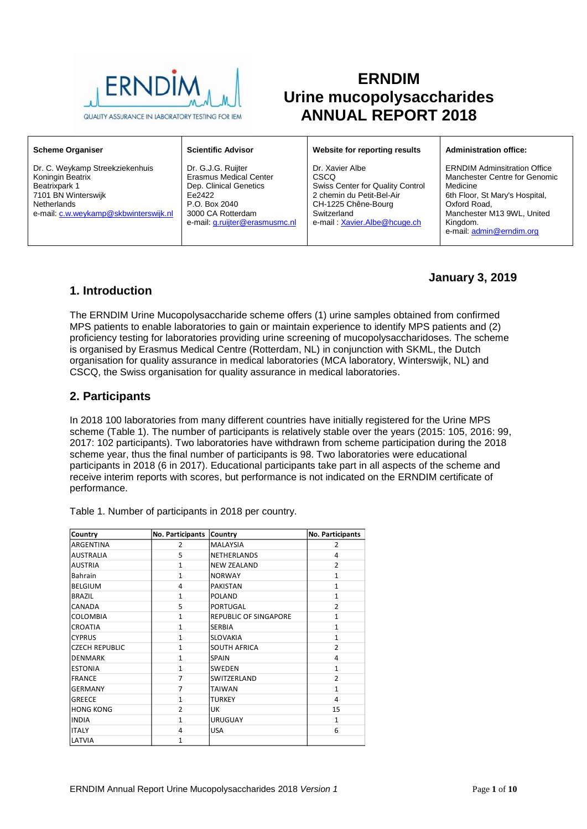

# **ERNDIM Urine mucopolysaccharides ANNUAL REPORT 2018**

| <b>Scheme Organiser</b>                                                                                                                             | <b>Scientific Advisor</b>                                                                                                                                       | Website for reporting results                                                                                                                                         | <b>Administration office:</b>                                                                                                                                                                            |
|-----------------------------------------------------------------------------------------------------------------------------------------------------|-----------------------------------------------------------------------------------------------------------------------------------------------------------------|-----------------------------------------------------------------------------------------------------------------------------------------------------------------------|----------------------------------------------------------------------------------------------------------------------------------------------------------------------------------------------------------|
| Dr. C. Weykamp Streekziekenhuis<br>Koningin Beatrix<br>Beatrixpark 1<br>7101 BN Winterswijk<br>Netherlands<br>e-mail: c.w.weykamp@skbwinterswijk.nl | Dr. G.J.G. Ruijter<br><b>Erasmus Medical Center</b><br>Dep. Clinical Genetics<br>Fe2422<br>P.O. Box 2040<br>3000 CA Rotterdam<br>e-mail: g.ruijter@erasmusmc.nl | Dr. Xavier Albe<br><b>CSCO</b><br>Swiss Center for Quality Control<br>2 chemin du Petit-Bel-Air<br>CH-1225 Chêne-Bourg<br>Switzerland<br>e-mail: Xavier.Albe@hcuge.ch | <b>ERNDIM Adminsitration Office</b><br>Manchester Centre for Genomic<br>Medicine<br>6th Floor, St Mary's Hospital,<br>Oxford Road.<br>Manchester M13 9WL, United<br>Kingdom.<br>e-mail: admin@erndim.org |

## **January 3, 2019**

### **1. Introduction**

The ERNDIM Urine Mucopolysaccharide scheme offers (1) urine samples obtained from confirmed MPS patients to enable laboratories to gain or maintain experience to identify MPS patients and (2) proficiency testing for laboratories providing urine screening of mucopolysaccharidoses. The scheme is organised by Erasmus Medical Centre (Rotterdam, NL) in conjunction with SKML, the Dutch organisation for quality assurance in medical laboratories (MCA laboratory, Winterswijk, NL) and CSCQ, the Swiss organisation for quality assurance in medical laboratories.

## **2. Participants**

In 2018 100 laboratories from many different countries have initially registered for the Urine MPS scheme (Table 1). The number of participants is relatively stable over the years (2015: 105, 2016: 99, 2017: 102 participants). Two laboratories have withdrawn from scheme participation during the 2018 scheme year, thus the final number of participants is 98. Two laboratories were educational participants in 2018 (6 in 2017). Educational participants take part in all aspects of the scheme and receive interim reports with scores, but performance is not indicated on the ERNDIM certificate of performance.

| Country               | No. Participants | Country                      | No. Participants |
|-----------------------|------------------|------------------------------|------------------|
| ARGENTINA             | 2                | <b>MALAYSIA</b>              | 2                |
| <b>AUSTRALIA</b>      | 5                | <b>NETHERLANDS</b>           | 4                |
| <b>AUSTRIA</b>        | $\mathbf{1}$     | <b>NEW ZEALAND</b>           | $\overline{2}$   |
| <b>Bahrain</b>        | $\mathbf{1}$     | <b>NORWAY</b>                | $\mathbf{1}$     |
| <b>BELGIUM</b>        | 4                | <b>PAKISTAN</b>              | $\mathbf{1}$     |
| <b>BRAZIL</b>         | $\mathbf{1}$     | <b>POLAND</b>                | $\mathbf{1}$     |
| CANADA                | 5                | <b>PORTUGAL</b>              | $\overline{2}$   |
| <b>COLOMBIA</b>       | $\mathbf{1}$     | <b>REPUBLIC OF SINGAPORE</b> | 1                |
| CROATIA               | $\mathbf{1}$     | <b>SERBIA</b>                | $\mathbf{1}$     |
| <b>CYPRUS</b>         | 1                | <b>SLOVAKIA</b>              | $\mathbf{1}$     |
| <b>CZECH REPUBLIC</b> | $\mathbf{1}$     | <b>SOUTH AFRICA</b>          | $\overline{2}$   |
| <b>DENMARK</b>        | $\mathbf{1}$     | <b>SPAIN</b>                 | 4                |
| <b>ESTONIA</b>        | $\mathbf{1}$     | <b>SWEDEN</b>                | $\mathbf{1}$     |
| <b>FRANCE</b>         | 7                | SWITZERLAND                  | $\overline{2}$   |
| <b>GERMANY</b>        | 7                | <b>TAIWAN</b>                | $\mathbf{1}$     |
| <b>GREECE</b>         | $\mathbf{1}$     | <b>TURKEY</b>                | 4                |
| <b>HONG KONG</b>      | $\overline{2}$   | UK                           | 15               |
| <b>INDIA</b>          | $\mathbf{1}$     | <b>URUGUAY</b>               | $\mathbf{1}$     |
| <b>ITALY</b>          | 4                | <b>USA</b>                   | 6                |
| LATVIA                | 1                |                              |                  |

Table 1. Number of participants in 2018 per country.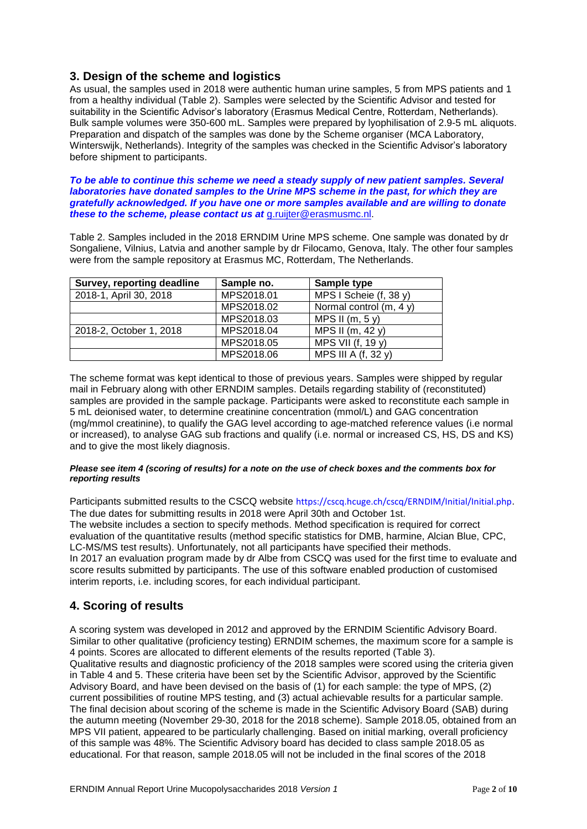### **3. Design of the scheme and logistics**

As usual, the samples used in 2018 were authentic human urine samples, 5 from MPS patients and 1 from a healthy individual (Table 2). Samples were selected by the Scientific Advisor and tested for suitability in the Scientific Advisor's laboratory (Erasmus Medical Centre, Rotterdam, Netherlands). Bulk sample volumes were 350-600 mL. Samples were prepared by lyophilisation of 2.9-5 mL aliquots. Preparation and dispatch of the samples was done by the Scheme organiser (MCA Laboratory, Winterswijk, Netherlands). Integrity of the samples was checked in the Scientific Advisor's laboratory before shipment to participants.

*To be able to continue this scheme we need a steady supply of new patient samples. Several laboratories have donated samples to the Urine MPS scheme in the past, for which they are gratefully acknowledged. If you have one or more samples available and are willing to donate these to the scheme, please contact us at* [g.ruijter@erasmusmc.nl.](mailto:g.ruijter@erasmusmc.nl)

Table 2. Samples included in the 2018 ERNDIM Urine MPS scheme. One sample was donated by dr Songaliene, Vilnius, Latvia and another sample by dr Filocamo, Genova, Italy. The other four samples were from the sample repository at Erasmus MC, Rotterdam, The Netherlands.

| Survey, reporting deadline | Sample no. | Sample type              |
|----------------------------|------------|--------------------------|
| 2018-1, April 30, 2018     | MPS2018.01 | MPS I Scheie (f, 38 y)   |
|                            | MPS2018.02 | Normal control $(m, 4y)$ |
|                            | MPS2018.03 | MPS II $(m, 5y)$         |
| 2018-2, October 1, 2018    | MPS2018.04 | MPS II (m, 42 y)         |
|                            | MPS2018.05 | MPS VII (f, 19 y)        |
|                            | MPS2018.06 | MPS III A (f, 32 y)      |

The scheme format was kept identical to those of previous years. Samples were shipped by regular mail in February along with other ERNDIM samples. Details regarding stability of (reconstituted) samples are provided in the sample package. Participants were asked to reconstitute each sample in 5 mL deionised water, to determine creatinine concentration (mmol/L) and GAG concentration (mg/mmol creatinine), to qualify the GAG level according to age-matched reference values (i.e normal or increased), to analyse GAG sub fractions and qualify (i.e. normal or increased CS, HS, DS and KS) and to give the most likely diagnosis.

#### *Please see item 4 (scoring of results) for a note on the use of check boxes and the comments box for reporting results*

Participants submitted results to the CSCQ website https://cscq.hcuge.ch/cscq/ERNDIM/Initial/Initial.php. The due dates for submitting results in 2018 were April 30th and October 1st. The website includes a section to specify methods. Method specification is required for correct evaluation of the quantitative results (method specific statistics for DMB, harmine, Alcian Blue, CPC, LC-MS/MS test results). Unfortunately, not all participants have specified their methods. In 2017 an evaluation program made by dr Albe from CSCQ was used for the first time to evaluate and score results submitted by participants. The use of this software enabled production of customised interim reports, i.e. including scores, for each individual participant.

## **4. Scoring of results**

A scoring system was developed in 2012 and approved by the ERNDIM Scientific Advisory Board. Similar to other qualitative (proficiency testing) ERNDIM schemes, the maximum score for a sample is 4 points. Scores are allocated to different elements of the results reported (Table 3). Qualitative results and diagnostic proficiency of the 2018 samples were scored using the criteria given in Table 4 and 5. These criteria have been set by the Scientific Advisor, approved by the Scientific Advisory Board, and have been devised on the basis of (1) for each sample: the type of MPS, (2) current possibilities of routine MPS testing, and (3) actual achievable results for a particular sample. The final decision about scoring of the scheme is made in the Scientific Advisory Board (SAB) during the autumn meeting (November 29-30, 2018 for the 2018 scheme). Sample 2018.05, obtained from an MPS VII patient, appeared to be particularly challenging. Based on initial marking, overall proficiency of this sample was 48%. The Scientific Advisory board has decided to class sample 2018.05 as educational. For that reason, sample 2018.05 will not be included in the final scores of the 2018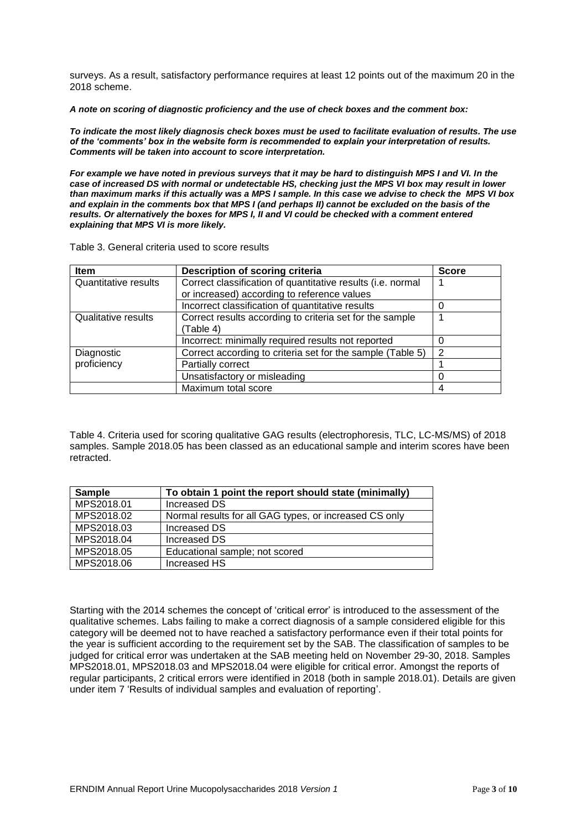surveys. As a result, satisfactory performance requires at least 12 points out of the maximum 20 in the 2018 scheme.

*A note on scoring of diagnostic proficiency and the use of check boxes and the comment box:*

*To indicate the most likely diagnosis check boxes must be used to facilitate evaluation of results. The use of the 'comments' box in the website form is recommended to explain your interpretation of results. Comments will be taken into account to score interpretation.*

*For example we have noted in previous surveys that it may be hard to distinguish MPS I and VI. In the case of increased DS with normal or undetectable HS, checking just the MPS VI box may result in lower than maximum marks if this actually was a MPS I sample. In this case we advise to check the MPS VI box and explain in the comments box that MPS I (and perhaps II) cannot be excluded on the basis of the results. Or alternatively the boxes for MPS I, II and VI could be checked with a comment entered explaining that MPS VI is more likely.*

Table 3. General criteria used to score results

| Item                        | Description of scoring criteria                             | <b>Score</b> |
|-----------------------------|-------------------------------------------------------------|--------------|
| <b>Quantitative results</b> | Correct classification of quantitative results (i.e. normal |              |
|                             | or increased) according to reference values                 |              |
|                             | Incorrect classification of quantitative results            | O            |
| Qualitative results         | Correct results according to criteria set for the sample    |              |
|                             | (Table 4)                                                   |              |
|                             | Incorrect: minimally required results not reported          | O            |
| Diagnostic                  | Correct according to criteria set for the sample (Table 5)  | 2            |
| proficiency                 | Partially correct                                           |              |
|                             | Unsatisfactory or misleading                                | 0            |
|                             | Maximum total score                                         | 4            |

Table 4. Criteria used for scoring qualitative GAG results (electrophoresis, TLC, LC-MS/MS) of 2018 samples. Sample 2018.05 has been classed as an educational sample and interim scores have been retracted.

| <b>Sample</b> | To obtain 1 point the report should state (minimally)  |
|---------------|--------------------------------------------------------|
| MPS2018.01    | <b>Increased DS</b>                                    |
| MPS2018.02    | Normal results for all GAG types, or increased CS only |
| MPS2018.03    | Increased DS                                           |
| MPS2018.04    | Increased DS                                           |
| MPS2018.05    | Educational sample; not scored                         |
| MPS2018.06    | Increased HS                                           |

Starting with the 2014 schemes the concept of 'critical error' is introduced to the assessment of the qualitative schemes. Labs failing to make a correct diagnosis of a sample considered eligible for this category will be deemed not to have reached a satisfactory performance even if their total points for the year is sufficient according to the requirement set by the SAB. The classification of samples to be judged for critical error was undertaken at the SAB meeting held on November 29-30, 2018. Samples MPS2018.01, MPS2018.03 and MPS2018.04 were eligible for critical error. Amongst the reports of regular participants, 2 critical errors were identified in 2018 (both in sample 2018.01). Details are given under item 7 'Results of individual samples and evaluation of reporting'.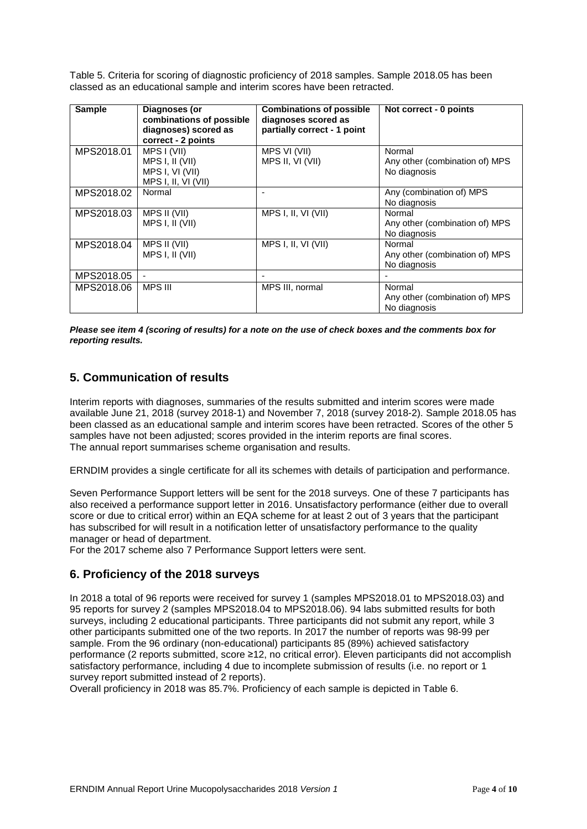Table 5. Criteria for scoring of diagnostic proficiency of 2018 samples. Sample 2018.05 has been classed as an educational sample and interim scores have been retracted.

| <b>Sample</b> | Diagnoses (or<br>combinations of possible<br>diagnoses) scored as<br>correct - 2 points | <b>Combinations of possible</b><br>diagnoses scored as<br>partially correct - 1 point | Not correct - 0 points                                   |
|---------------|-----------------------------------------------------------------------------------------|---------------------------------------------------------------------------------------|----------------------------------------------------------|
| MPS2018.01    | MPS I (VII)<br>MPS I, II (VII)<br>MPS I, VI (VII)<br>MPS I, II, VI (VII)                | MPS VI (VII)<br>MPS II, VI (VII)                                                      | Normal<br>Any other (combination of) MPS<br>No diagnosis |
| MPS2018.02    | Normal                                                                                  |                                                                                       | Any (combination of) MPS<br>No diagnosis                 |
| MPS2018.03    | MPS II (VII)<br>MPS I, II (VII)                                                         | MPS I, II, VI (VII)                                                                   | Normal<br>Any other (combination of) MPS<br>No diagnosis |
| MPS2018.04    | MPS II (VII)<br>MPS I, II (VII)                                                         | MPS I, II, VI (VII)                                                                   | Normal<br>Any other (combination of) MPS<br>No diagnosis |
| MPS2018.05    | ٠                                                                                       |                                                                                       |                                                          |
| MPS2018.06    | <b>MPS III</b>                                                                          | MPS III, normal                                                                       | Normal<br>Any other (combination of) MPS<br>No diagnosis |

*Please see item 4 (scoring of results) for a note on the use of check boxes and the comments box for reporting results.*

## **5. Communication of results**

Interim reports with diagnoses, summaries of the results submitted and interim scores were made available June 21, 2018 (survey 2018-1) and November 7, 2018 (survey 2018-2). Sample 2018.05 has been classed as an educational sample and interim scores have been retracted. Scores of the other 5 samples have not been adjusted; scores provided in the interim reports are final scores. The annual report summarises scheme organisation and results.

ERNDIM provides a single certificate for all its schemes with details of participation and performance.

Seven Performance Support letters will be sent for the 2018 surveys. One of these 7 participants has also received a performance support letter in 2016. Unsatisfactory performance (either due to overall score or due to critical error) within an EQA scheme for at least 2 out of 3 years that the participant has subscribed for will result in a notification letter of unsatisfactory performance to the quality manager or head of department.

For the 2017 scheme also 7 Performance Support letters were sent.

### **6. Proficiency of the 2018 surveys**

In 2018 a total of 96 reports were received for survey 1 (samples MPS2018.01 to MPS2018.03) and 95 reports for survey 2 (samples MPS2018.04 to MPS2018.06). 94 labs submitted results for both surveys, including 2 educational participants. Three participants did not submit any report, while 3 other participants submitted one of the two reports. In 2017 the number of reports was 98-99 per sample. From the 96 ordinary (non-educational) participants 85 (89%) achieved satisfactory performance (2 reports submitted, score ≥12, no critical error). Eleven participants did not accomplish satisfactory performance, including 4 due to incomplete submission of results (i.e. no report or 1 survey report submitted instead of 2 reports).

Overall proficiency in 2018 was 85.7%. Proficiency of each sample is depicted in Table 6.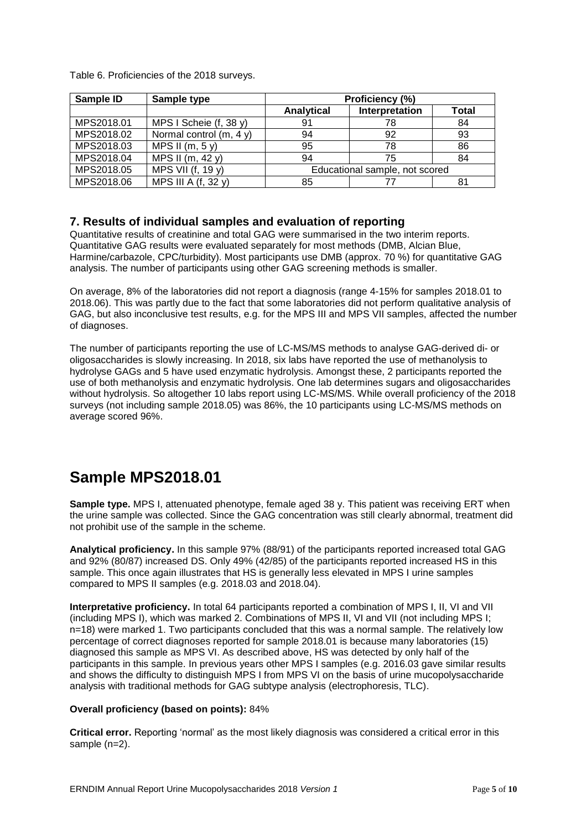| Sample ID  | Sample type             | Proficiency (%)                |                |       |
|------------|-------------------------|--------------------------------|----------------|-------|
|            |                         | Analytical                     | Interpretation | Total |
| MPS2018.01 | MPS I Scheie (f, 38 y)  | 91                             | 78             | 84    |
| MPS2018.02 | Normal control (m, 4 y) | 94                             | 92             | 93    |
| MPS2018.03 | MPS II $(m, 5y)$        | 95                             | 78             | 86    |
| MPS2018.04 | MPS II (m, 42 y)        | 94                             | 75             | 84    |
| MPS2018.05 | MPS VII (f, 19 y)       | Educational sample, not scored |                |       |
| MPS2018.06 | MPS III A (f, 32 y)     | 85                             | 77             | 81    |

Table 6. Proficiencies of the 2018 surveys.

### **7. Results of individual samples and evaluation of reporting**

Quantitative results of creatinine and total GAG were summarised in the two interim reports. Quantitative GAG results were evaluated separately for most methods (DMB, Alcian Blue, Harmine/carbazole, CPC/turbidity). Most participants use DMB (approx. 70 %) for quantitative GAG analysis. The number of participants using other GAG screening methods is smaller.

On average, 8% of the laboratories did not report a diagnosis (range 4-15% for samples 2018.01 to 2018.06). This was partly due to the fact that some laboratories did not perform qualitative analysis of GAG, but also inconclusive test results, e.g. for the MPS III and MPS VII samples, affected the number of diagnoses.

The number of participants reporting the use of LC-MS/MS methods to analyse GAG-derived di- or oligosaccharides is slowly increasing. In 2018, six labs have reported the use of methanolysis to hydrolyse GAGs and 5 have used enzymatic hydrolysis. Amongst these, 2 participants reported the use of both methanolysis and enzymatic hydrolysis. One lab determines sugars and oligosaccharides without hydrolysis. So altogether 10 labs report using LC-MS/MS. While overall proficiency of the 2018 surveys (not including sample 2018.05) was 86%, the 10 participants using LC-MS/MS methods on average scored 96%.

# **Sample MPS2018.01**

**Sample type.** MPS I, attenuated phenotype, female aged 38 y. This patient was receiving ERT when the urine sample was collected. Since the GAG concentration was still clearly abnormal, treatment did not prohibit use of the sample in the scheme.

**Analytical proficiency.** In this sample 97% (88/91) of the participants reported increased total GAG and 92% (80/87) increased DS. Only 49% (42/85) of the participants reported increased HS in this sample. This once again illustrates that HS is generally less elevated in MPS I urine samples compared to MPS II samples (e.g. 2018.03 and 2018.04).

**Interpretative proficiency.** In total 64 participants reported a combination of MPS I, II, VI and VII (including MPS I), which was marked 2. Combinations of MPS II, VI and VII (not including MPS I; n=18) were marked 1. Two participants concluded that this was a normal sample. The relatively low percentage of correct diagnoses reported for sample 2018.01 is because many laboratories (15) diagnosed this sample as MPS VI. As described above, HS was detected by only half of the participants in this sample. In previous years other MPS I samples (e.g. 2016.03 gave similar results and shows the difficulty to distinguish MPS I from MPS VI on the basis of urine mucopolysaccharide analysis with traditional methods for GAG subtype analysis (electrophoresis, TLC).

#### **Overall proficiency (based on points):** 84%

**Critical error.** Reporting 'normal' as the most likely diagnosis was considered a critical error in this sample (n=2).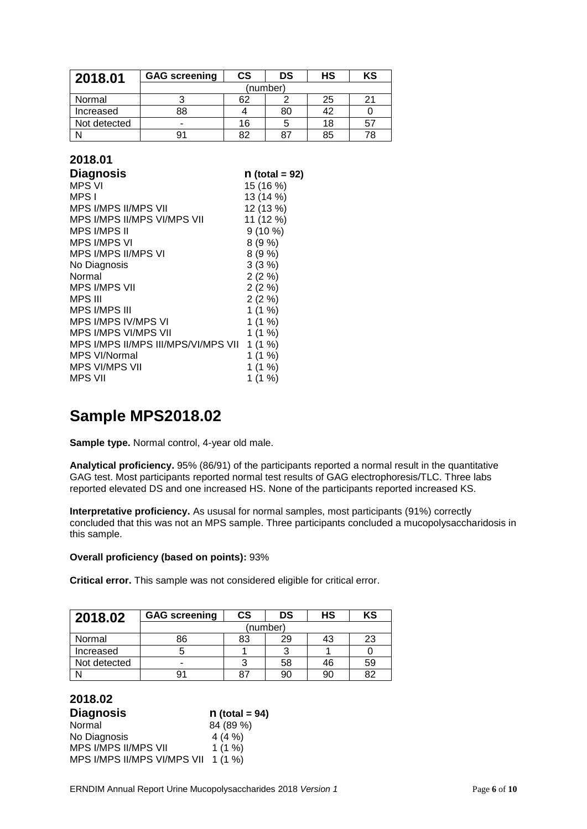| 2018.01      | <b>GAG screening</b> | CS | DS | НS | KS |
|--------------|----------------------|----|----|----|----|
|              | (number)             |    |    |    |    |
| Normal       |                      | 62 |    | 25 | 21 |
| Increased    | 88                   |    | 80 | 42 |    |
| Not detected | -                    | 16 | 5  | 18 | 57 |
|              | 91                   | 82 | 87 | 85 | 78 |

### **2018.01**

| $n$ (total = 92)                                |
|-------------------------------------------------|
| 15 (16 %)                                       |
| 13 (14 %)                                       |
| 12 (13 %)                                       |
| 11 (12 %)                                       |
| $9(10\%)$                                       |
| 8(9%                                            |
| 8(9%                                            |
| 3(3%)                                           |
| $2(2\%)$                                        |
| $2(2\%)$                                        |
| $2(2\%)$                                        |
| 1(1%                                            |
| 1(1%                                            |
| 1(1%                                            |
| MPS I/MPS II/MPS III/MPS/VI/MPS VII<br>$1(1\%)$ |
| 1(1%                                            |
| 1(1%)                                           |
| 1(1%)                                           |
|                                                 |

# **Sample MPS2018.02**

**Sample type.** Normal control, 4-year old male.

**Analytical proficiency.** 95% (86/91) of the participants reported a normal result in the quantitative GAG test. Most participants reported normal test results of GAG electrophoresis/TLC. Three labs reported elevated DS and one increased HS. None of the participants reported increased KS.

**Interpretative proficiency.** As ususal for normal samples, most participants (91%) correctly concluded that this was not an MPS sample. Three participants concluded a mucopolysaccharidosis in this sample.

#### **Overall proficiency (based on points):** 93%

**Critical error.** This sample was not considered eligible for critical error.

| 2018.02      | <b>GAG screening</b> | $\mathsf{cs}$ | DS       | HS | KS |
|--------------|----------------------|---------------|----------|----|----|
|              |                      |               | (number) |    |    |
| Normal       | 86                   | 83            | 29       | 43 | 23 |
| Increased    |                      |               |          |    |    |
| Not detected | -                    | ◠             | 58       | 46 | 59 |
|              | 91                   | -87           | 90       | 90 | 82 |

#### **2018.02**

| <b>Diagnosis</b>            | $n$ (total = 94) |
|-----------------------------|------------------|
| Normal                      | 84 (89 %)        |
| No Diagnosis                | 4(4%             |
| MPS I/MPS II/MPS VII        | $1(1\%)$         |
| MPS I/MPS II/MPS VI/MPS VII | $1(1\%)$         |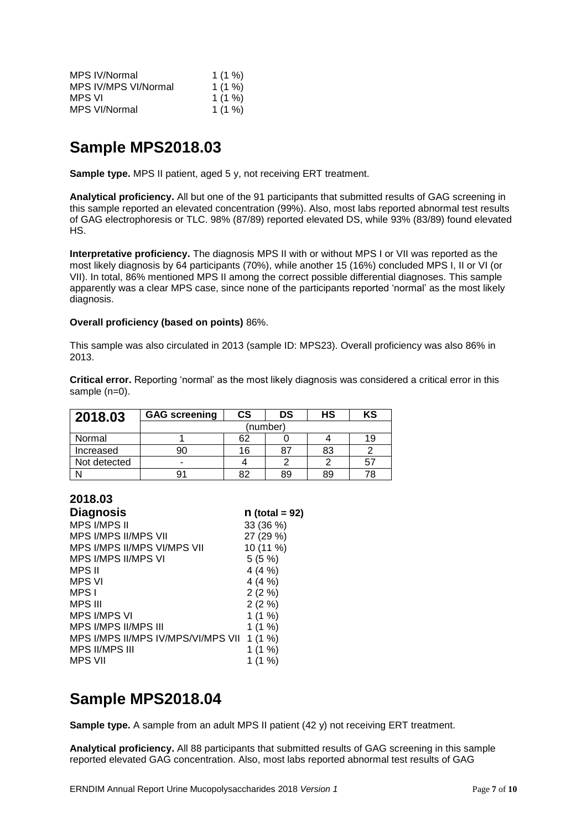| MPS IV/Normal        | 1(1% |
|----------------------|------|
| MPS IV/MPS VI/Normal | 1(1% |
| MPS VI               | 1(1% |
| MPS VI/Normal        | 1(1% |

# **Sample MPS2018.03**

**Sample type.** MPS II patient, aged 5 y, not receiving ERT treatment.

**Analytical proficiency.** All but one of the 91 participants that submitted results of GAG screening in this sample reported an elevated concentration (99%). Also, most labs reported abnormal test results of GAG electrophoresis or TLC. 98% (87/89) reported elevated DS, while 93% (83/89) found elevated HS.

**Interpretative proficiency.** The diagnosis MPS II with or without MPS I or VII was reported as the most likely diagnosis by 64 participants (70%), while another 15 (16%) concluded MPS I, II or VI (or VII). In total, 86% mentioned MPS II among the correct possible differential diagnoses. This sample apparently was a clear MPS case, since none of the participants reported 'normal' as the most likely diagnosis.

#### **Overall proficiency (based on points)** 86%.

This sample was also circulated in 2013 (sample ID: MPS23). Overall proficiency was also 86% in 2013.

**Critical error.** Reporting 'normal' as the most likely diagnosis was considered a critical error in this sample (n=0).

| 2018.03      | <b>GAG screening</b> | $\mathsf{cs}$ | DS | HS | KS |
|--------------|----------------------|---------------|----|----|----|
|              | (number)             |               |    |    |    |
| Normal       |                      | 62            |    |    | 19 |
| Increased    | 90                   | 16            | 87 | 83 |    |
| Not detected | -                    |               |    |    |    |
|              | 91                   | 82            | 89 | 89 | 78 |

## **2018.03**

| <b>Diagnosis</b>                           | $n$ (total = 92) |
|--------------------------------------------|------------------|
| <b>MPS I/MPS II</b>                        | 33 (36 %)        |
| <b>MPS I/MPS II/MPS VII</b>                | 27 (29 %)        |
| MPS I/MPS II/MPS VI/MPS VII                | 10 (11 %)        |
| <b>MPS I/MPS II/MPS VI</b>                 | 5(5%)            |
| MPS II                                     | 4(4%             |
| <b>MPS VI</b>                              | 4(4%             |
| MPS I                                      | $2(2\%)$         |
| <b>MPS III</b>                             | 2(2%)            |
| <b>MPS I/MPS VI</b>                        | 1(1%)            |
| MPS I/MPS II/MPS III                       | 1(1%)            |
| MPS I/MPS II/MPS IV/MPS/VI/MPS VII 1 (1 %) |                  |
| <b>MPS II/MPS III</b>                      | 1(1%)            |
| MPS VII                                    | 1 (1 %)          |
|                                            |                  |

# **Sample MPS2018.04**

**Sample type.** A sample from an adult MPS II patient (42 y) not receiving ERT treatment.

**Analytical proficiency.** All 88 participants that submitted results of GAG screening in this sample reported elevated GAG concentration. Also, most labs reported abnormal test results of GAG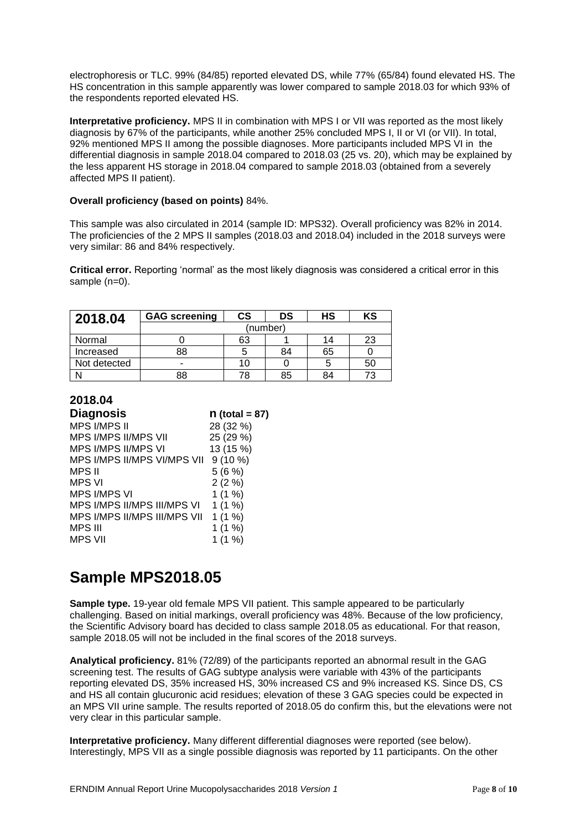electrophoresis or TLC. 99% (84/85) reported elevated DS, while 77% (65/84) found elevated HS. The HS concentration in this sample apparently was lower compared to sample 2018.03 for which 93% of the respondents reported elevated HS.

**Interpretative proficiency.** MPS II in combination with MPS I or VII was reported as the most likely diagnosis by 67% of the participants, while another 25% concluded MPS I, II or VI (or VII). In total, 92% mentioned MPS II among the possible diagnoses. More participants included MPS VI in the differential diagnosis in sample 2018.04 compared to 2018.03 (25 vs. 20), which may be explained by the less apparent HS storage in 2018.04 compared to sample 2018.03 (obtained from a severely affected MPS II patient).

#### **Overall proficiency (based on points)** 84%.

This sample was also circulated in 2014 (sample ID: MPS32). Overall proficiency was 82% in 2014. The proficiencies of the 2 MPS II samples (2018.03 and 2018.04) included in the 2018 surveys were very similar: 86 and 84% respectively.

**Critical error.** Reporting 'normal' as the most likely diagnosis was considered a critical error in this sample (n=0).

| 2018.04      | <b>GAG screening</b> | $\mathsf{cs}$ | DS | HS | KS |
|--------------|----------------------|---------------|----|----|----|
|              | (number)             |               |    |    |    |
| Normal       |                      | 63            |    | 14 | 23 |
| Increased    | 88                   |               | 84 | 65 |    |
| Not detected |                      | 10            |    |    | 50 |
|              | 88                   | 78            | 85 | 84 | 73 |

| 2018.04                      |                  |
|------------------------------|------------------|
| <b>Diagnosis</b>             | $n$ (total = 87) |
| <b>MPS I/MPS II</b>          | 28 (32 %)        |
| <b>MPS I/MPS II/MPS VII</b>  | 25 (29 %)        |
| MPS I/MPS II/MPS VI          | 13 (15 %)        |
| MPS I/MPS II/MPS VI/MPS VII  | $9(10\%)$        |
| MPS II                       | 5(6%)            |
| <b>MPS VI</b>                | $2(2\%)$         |
| <b>MPS I/MPS VI</b>          | 1(1%)            |
| MPS I/MPS II/MPS III/MPS VI  | 1(1%)            |
| MPS I/MPS II/MPS III/MPS VII | 1(1%)            |
| <b>MPS III</b>               | 1(1%)            |
| <b>MPS VII</b>               | 1(1%)            |
|                              |                  |

# **Sample MPS2018.05**

**Sample type.** 19-year old female MPS VII patient. This sample appeared to be particularly challenging. Based on initial markings, overall proficiency was 48%. Because of the low proficiency, the Scientific Advisory board has decided to class sample 2018.05 as educational. For that reason, sample 2018.05 will not be included in the final scores of the 2018 surveys.

**Analytical proficiency.** 81% (72/89) of the participants reported an abnormal result in the GAG screening test. The results of GAG subtype analysis were variable with 43% of the participants reporting elevated DS, 35% increased HS, 30% increased CS and 9% increased KS. Since DS, CS and HS all contain glucuronic acid residues; elevation of these 3 GAG species could be expected in an MPS VII urine sample. The results reported of 2018.05 do confirm this, but the elevations were not very clear in this particular sample.

**Interpretative proficiency.** Many different differential diagnoses were reported (see below). Interestingly, MPS VII as a single possible diagnosis was reported by 11 participants. On the other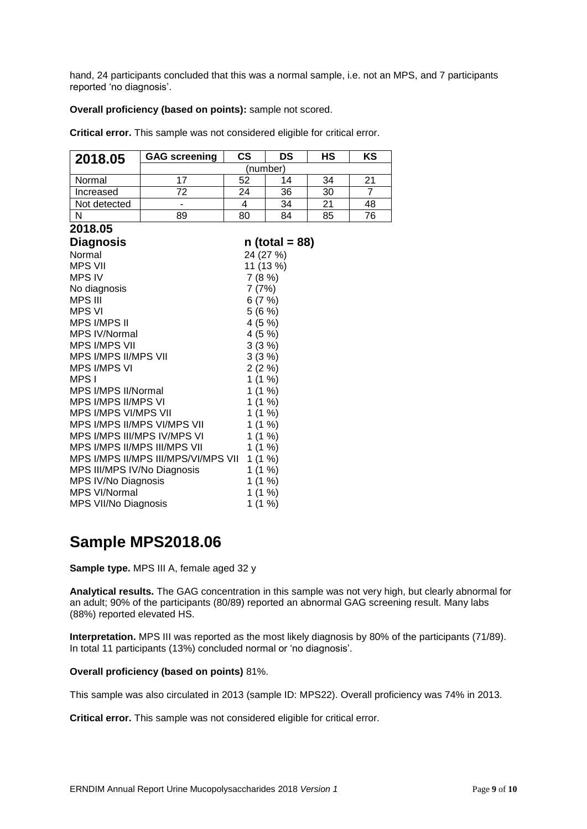hand, 24 participants concluded that this was a normal sample, i.e. not an MPS, and 7 participants reported 'no diagnosis'.

#### **Overall proficiency (based on points):** sample not scored.

**Critical error.** This sample was not considered eligible for critical error.

| 2018.05                             | <b>GAG screening</b>     | $\mathsf{cs}$ | DS               | HS | ΚS             |  |  |
|-------------------------------------|--------------------------|---------------|------------------|----|----------------|--|--|
|                                     |                          | (number)      |                  |    |                |  |  |
| Normal                              | 17                       | 52            | 14               | 34 | 21             |  |  |
| Increased                           | $\overline{72}$          | 24            | 36               | 30 | $\overline{7}$ |  |  |
| Not detected                        | $\overline{\phantom{a}}$ | 4             | 34               | 21 | 48             |  |  |
| $\mathsf{N}$                        | 89                       | 80            | 84               | 85 | 76             |  |  |
| 2018.05                             |                          |               |                  |    |                |  |  |
| <b>Diagnosis</b>                    |                          |               | $n$ (total = 88) |    |                |  |  |
| Normal                              |                          |               | 24 (27 %)        |    |                |  |  |
| <b>MPS VII</b>                      |                          |               | 11 (13 %)        |    |                |  |  |
| <b>MPS IV</b>                       |                          | 7(8%)         |                  |    |                |  |  |
| No diagnosis                        |                          | 7(7%)         |                  |    |                |  |  |
| MPS III                             |                          | 6(7%)         |                  |    |                |  |  |
| MPS VI                              |                          | 5(6%)         |                  |    |                |  |  |
| <b>MPS I/MPS II</b>                 |                          | 4(5%)         |                  |    |                |  |  |
| <b>MPS IV/Normal</b>                |                          | 4(5%)         |                  |    |                |  |  |
| <b>MPS I/MPS VII</b>                |                          |               | 3(3%)            |    |                |  |  |
| MPS I/MPS II/MPS VII                |                          |               | 3(3%)            |    |                |  |  |
| <b>MPS I/MPS VI</b>                 |                          | 2(2%)         |                  |    |                |  |  |
| MPS I                               |                          | 1(1%)         |                  |    |                |  |  |
| MPS I/MPS II/Normal                 |                          | 1(1%)         |                  |    |                |  |  |
| <b>MPS I/MPS II/MPS VI</b>          |                          | 1(1%)         |                  |    |                |  |  |
| MPS I/MPS VI/MPS VII                |                          |               | 1(1%)            |    |                |  |  |
| MPS I/MPS II/MPS VI/MPS VII         |                          |               | 1(1%)            |    |                |  |  |
| MPS I/MPS III/MPS IV/MPS VI         |                          |               | 1(1%)            |    |                |  |  |
| <b>MPS I/MPS II/MPS III/MPS VII</b> |                          |               | 1(1%)            |    |                |  |  |
| MPS I/MPS II/MPS III/MPS/VI/MPS VII |                          |               | 1(1%)            |    |                |  |  |
| MPS III/MPS IV/No Diagnosis         |                          | 1(1%)         |                  |    |                |  |  |
| MPS IV/No Diagnosis                 |                          | 1(1%)         |                  |    |                |  |  |
| <b>MPS VI/Normal</b>                |                          | 1(1%)         |                  |    |                |  |  |
| MPS VII/No Diagnosis                |                          | 1(1%)         |                  |    |                |  |  |

# **Sample MPS2018.06**

**Sample type.** MPS III A, female aged 32 y

**Analytical results.** The GAG concentration in this sample was not very high, but clearly abnormal for an adult; 90% of the participants (80/89) reported an abnormal GAG screening result. Many labs (88%) reported elevated HS.

**Interpretation.** MPS III was reported as the most likely diagnosis by 80% of the participants (71/89). In total 11 participants (13%) concluded normal or 'no diagnosis'.

#### **Overall proficiency (based on points)** 81%.

This sample was also circulated in 2013 (sample ID: MPS22). Overall proficiency was 74% in 2013.

**Critical error.** This sample was not considered eligible for critical error.